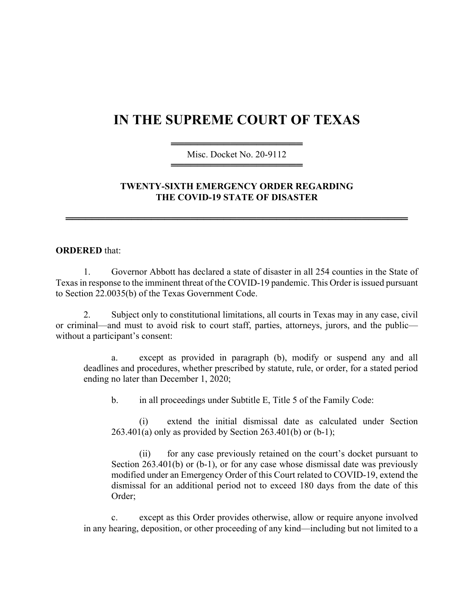## **IN THE SUPREME COURT OF TEXAS**

════════════════════ Misc. Docket No. 20-9112 ════════════════════

## **TWENTY-SIXTH EMERGENCY ORDER REGARDING THE COVID-19 STATE OF DISASTER**

════════════════════════════════════════════════════

## **ORDERED** that:

1. Governor Abbott has declared a state of disaster in all 254 counties in the State of Texas in response to the imminent threat of the COVID-19 pandemic. This Order is issued pursuant to Section 22.0035(b) of the Texas Government Code.

2. Subject only to constitutional limitations, all courts in Texas may in any case, civil or criminal—and must to avoid risk to court staff, parties, attorneys, jurors, and the public without a participant's consent:

a. except as provided in paragraph (b), modify or suspend any and all deadlines and procedures, whether prescribed by statute, rule, or order, for a stated period ending no later than December 1, 2020;

b. in all proceedings under Subtitle E, Title 5 of the Family Code:

(i) extend the initial dismissal date as calculated under Section  $263.401(a)$  only as provided by Section  $263.401(b)$  or  $(b-1)$ ;

(ii) for any case previously retained on the court's docket pursuant to Section 263.401(b) or (b-1), or for any case whose dismissal date was previously modified under an Emergency Order of this Court related to COVID-19, extend the dismissal for an additional period not to exceed 180 days from the date of this Order;

c. except as this Order provides otherwise, allow or require anyone involved in any hearing, deposition, or other proceeding of any kind—including but not limited to a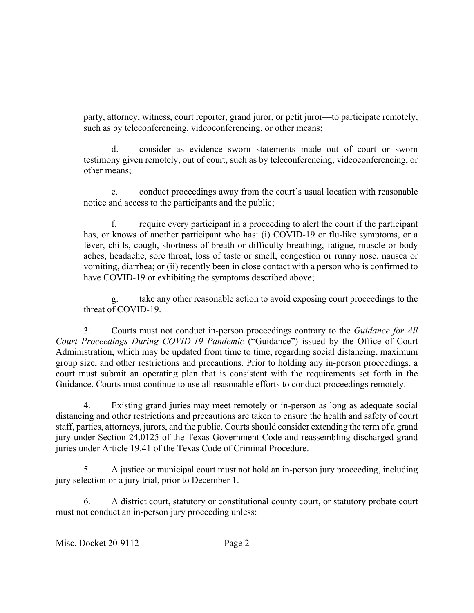party, attorney, witness, court reporter, grand juror, or petit juror—to participate remotely, such as by teleconferencing, videoconferencing, or other means;

d. consider as evidence sworn statements made out of court or sworn testimony given remotely, out of court, such as by teleconferencing, videoconferencing, or other means;

e. conduct proceedings away from the court's usual location with reasonable notice and access to the participants and the public;

require every participant in a proceeding to alert the court if the participant has, or knows of another participant who has: (i) COVID-19 or flu-like symptoms, or a fever, chills, cough, shortness of breath or difficulty breathing, fatigue, muscle or body aches, headache, sore throat, loss of taste or smell, congestion or runny nose, nausea or vomiting, diarrhea; or (ii) recently been in close contact with a person who is confirmed to have COVID-19 or exhibiting the symptoms described above;

g. take any other reasonable action to avoid exposing court proceedings to the threat of COVID-19.

3. Courts must not conduct in-person proceedings contrary to the *Guidance for All Court Proceedings During COVID-19 Pandemic* ("Guidance") issued by the Office of Court Administration, which may be updated from time to time, regarding social distancing, maximum group size, and other restrictions and precautions. Prior to holding any in-person proceedings, a court must submit an operating plan that is consistent with the requirements set forth in the Guidance. Courts must continue to use all reasonable efforts to conduct proceedings remotely.

4. Existing grand juries may meet remotely or in-person as long as adequate social distancing and other restrictions and precautions are taken to ensure the health and safety of court staff, parties, attorneys, jurors, and the public. Courts should consider extending the term of a grand jury under Section 24.0125 of the Texas Government Code and reassembling discharged grand juries under Article 19.41 of the Texas Code of Criminal Procedure.

5. A justice or municipal court must not hold an in-person jury proceeding, including jury selection or a jury trial, prior to December 1.

6. A district court, statutory or constitutional county court, or statutory probate court must not conduct an in-person jury proceeding unless: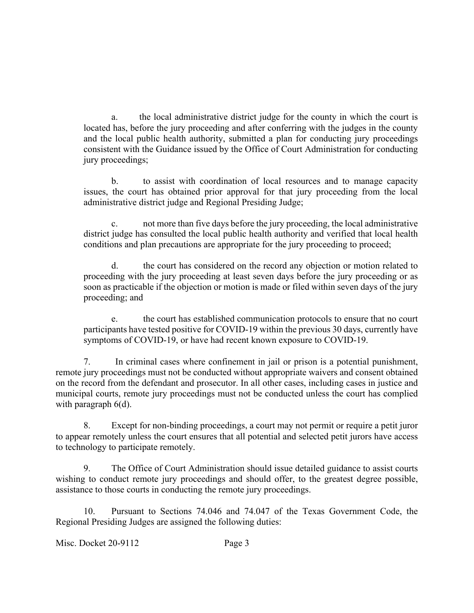a. the local administrative district judge for the county in which the court is located has, before the jury proceeding and after conferring with the judges in the county and the local public health authority, submitted a plan for conducting jury proceedings consistent with the Guidance issued by the Office of Court Administration for conducting jury proceedings;

b. to assist with coordination of local resources and to manage capacity issues, the court has obtained prior approval for that jury proceeding from the local administrative district judge and Regional Presiding Judge;

not more than five days before the jury proceeding, the local administrative district judge has consulted the local public health authority and verified that local health conditions and plan precautions are appropriate for the jury proceeding to proceed;

d. the court has considered on the record any objection or motion related to proceeding with the jury proceeding at least seven days before the jury proceeding or as soon as practicable if the objection or motion is made or filed within seven days of the jury proceeding; and

e. the court has established communication protocols to ensure that no court participants have tested positive for COVID-19 within the previous 30 days, currently have symptoms of COVID-19, or have had recent known exposure to COVID-19.

7. In criminal cases where confinement in jail or prison is a potential punishment, remote jury proceedings must not be conducted without appropriate waivers and consent obtained on the record from the defendant and prosecutor. In all other cases, including cases in justice and municipal courts, remote jury proceedings must not be conducted unless the court has complied with paragraph 6(d).

8. Except for non-binding proceedings, a court may not permit or require a petit juror to appear remotely unless the court ensures that all potential and selected petit jurors have access to technology to participate remotely.

9. The Office of Court Administration should issue detailed guidance to assist courts wishing to conduct remote jury proceedings and should offer, to the greatest degree possible, assistance to those courts in conducting the remote jury proceedings.

10. Pursuant to Sections 74.046 and 74.047 of the Texas Government Code, the Regional Presiding Judges are assigned the following duties:

Misc. Docket 20-9112 Page 3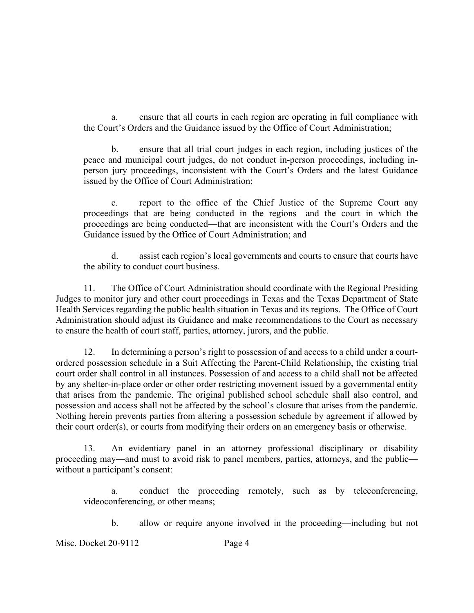a. ensure that all courts in each region are operating in full compliance with the Court's Orders and the Guidance issued by the Office of Court Administration;

b. ensure that all trial court judges in each region, including justices of the peace and municipal court judges, do not conduct in-person proceedings, including inperson jury proceedings, inconsistent with the Court's Orders and the latest Guidance issued by the Office of Court Administration;

c. report to the office of the Chief Justice of the Supreme Court any proceedings that are being conducted in the regions—and the court in which the proceedings are being conducted—that are inconsistent with the Court's Orders and the Guidance issued by the Office of Court Administration; and

d. assist each region's local governments and courts to ensure that courts have the ability to conduct court business.

11. The Office of Court Administration should coordinate with the Regional Presiding Judges to monitor jury and other court proceedings in Texas and the Texas Department of State Health Services regarding the public health situation in Texas and its regions. The Office of Court Administration should adjust its Guidance and make recommendations to the Court as necessary to ensure the health of court staff, parties, attorney, jurors, and the public.

12. In determining a person's right to possession of and access to a child under a courtordered possession schedule in a Suit Affecting the Parent-Child Relationship, the existing trial court order shall control in all instances. Possession of and access to a child shall not be affected by any shelter-in-place order or other order restricting movement issued by a governmental entity that arises from the pandemic. The original published school schedule shall also control, and possession and access shall not be affected by the school's closure that arises from the pandemic. Nothing herein prevents parties from altering a possession schedule by agreement if allowed by their court order(s), or courts from modifying their orders on an emergency basis or otherwise.

13. An evidentiary panel in an attorney professional disciplinary or disability proceeding may—and must to avoid risk to panel members, parties, attorneys, and the public without a participant's consent:

a. conduct the proceeding remotely, such as by teleconferencing, videoconferencing, or other means;

b. allow or require anyone involved in the proceeding—including but not

Misc. Docket 20-9112 Page 4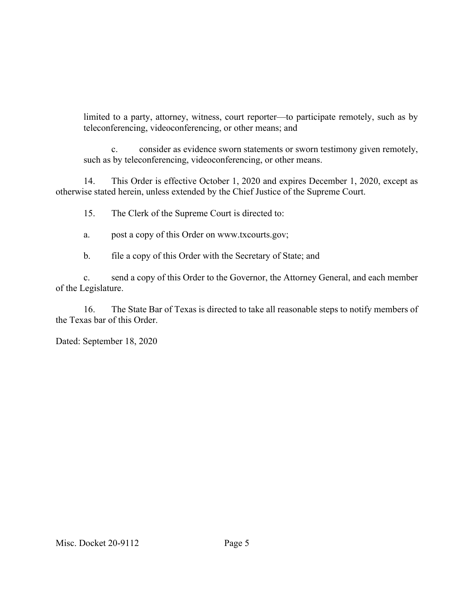limited to a party, attorney, witness, court reporter—to participate remotely, such as by teleconferencing, videoconferencing, or other means; and

c. consider as evidence sworn statements or sworn testimony given remotely, such as by teleconferencing, videoconferencing, or other means.

14. This Order is effective October 1, 2020 and expires December 1, 2020, except as otherwise stated herein, unless extended by the Chief Justice of the Supreme Court.

15. The Clerk of the Supreme Court is directed to:

a. post a copy of this Order on www.txcourts.gov;

b. file a copy of this Order with the Secretary of State; and

c. send a copy of this Order to the Governor, the Attorney General, and each member of the Legislature.

16. The State Bar of Texas is directed to take all reasonable steps to notify members of the Texas bar of this Order.

Dated: September 18, 2020